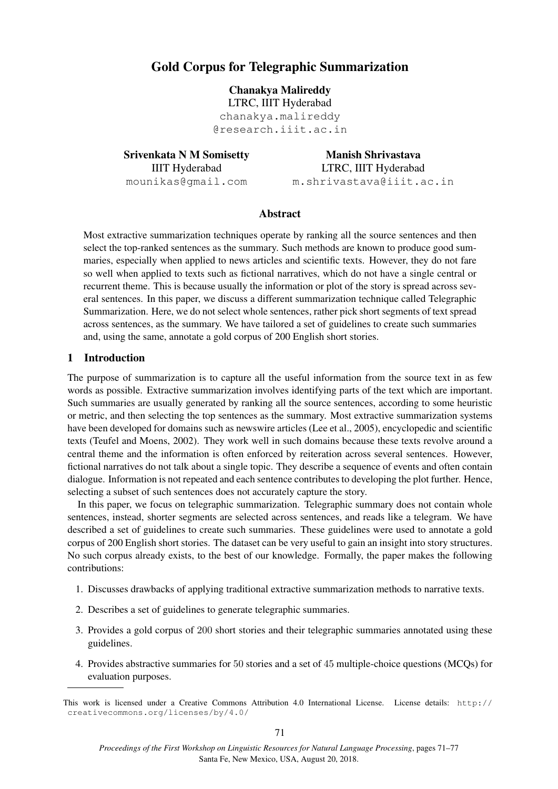# Gold Corpus for Telegraphic Summarization

Chanakya Malireddy

LTRC, IIIT Hyderabad chanakya.malireddy @research.iiit.ac.in

Srivenkata N M Somisetty IIIT Hyderabad mounikas@gmail.com

Manish Shrivastava LTRC, IIIT Hyderabad m.shrivastava@iiit.ac.in

# Abstract

Most extractive summarization techniques operate by ranking all the source sentences and then select the top-ranked sentences as the summary. Such methods are known to produce good summaries, especially when applied to news articles and scientific texts. However, they do not fare so well when applied to texts such as fictional narratives, which do not have a single central or recurrent theme. This is because usually the information or plot of the story is spread across several sentences. In this paper, we discuss a different summarization technique called Telegraphic Summarization. Here, we do not select whole sentences, rather pick short segments of text spread across sentences, as the summary. We have tailored a set of guidelines to create such summaries and, using the same, annotate a gold corpus of 200 English short stories.

### 1 Introduction

The purpose of summarization is to capture all the useful information from the source text in as few words as possible. Extractive summarization involves identifying parts of the text which are important. Such summaries are usually generated by ranking all the source sentences, according to some heuristic or metric, and then selecting the top sentences as the summary. Most extractive summarization systems have been developed for domains such as newswire articles (Lee et al., 2005), encyclopedic and scientific texts (Teufel and Moens, 2002). They work well in such domains because these texts revolve around a central theme and the information is often enforced by reiteration across several sentences. However, fictional narratives do not talk about a single topic. They describe a sequence of events and often contain dialogue. Information is not repeated and each sentence contributes to developing the plot further. Hence, selecting a subset of such sentences does not accurately capture the story.

In this paper, we focus on telegraphic summarization. Telegraphic summary does not contain whole sentences, instead, shorter segments are selected across sentences, and reads like a telegram. We have described a set of guidelines to create such summaries. These guidelines were used to annotate a gold corpus of 200 English short stories. The dataset can be very useful to gain an insight into story structures. No such corpus already exists, to the best of our knowledge. Formally, the paper makes the following contributions:

- 1. Discusses drawbacks of applying traditional extractive summarization methods to narrative texts.
- 2. Describes a set of guidelines to generate telegraphic summaries.
- 3. Provides a gold corpus of 200 short stories and their telegraphic summaries annotated using these guidelines.
- 4. Provides abstractive summaries for 50 stories and a set of 45 multiple-choice questions (MCQs) for evaluation purposes.

This work is licensed under a Creative Commons Attribution 4.0 International License. License details: http:// creativecommons.org/licenses/by/4.0/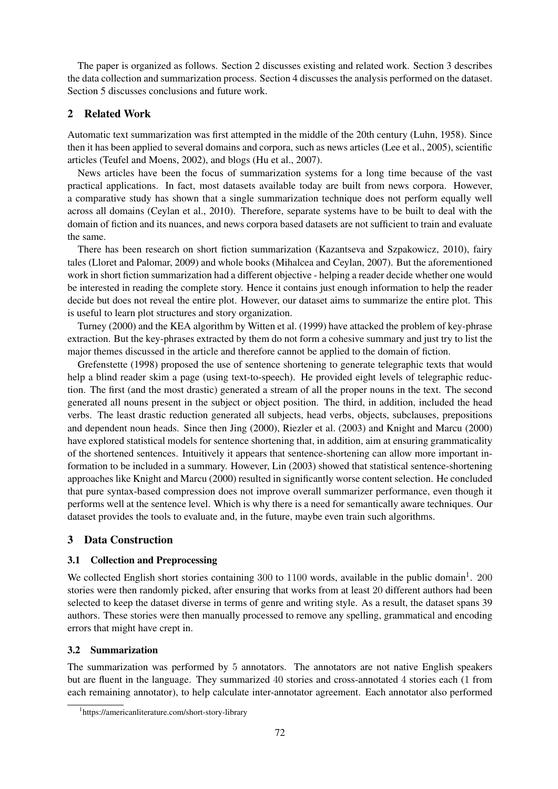The paper is organized as follows. Section 2 discusses existing and related work. Section 3 describes the data collection and summarization process. Section 4 discusses the analysis performed on the dataset. Section 5 discusses conclusions and future work.

# 2 Related Work

Automatic text summarization was first attempted in the middle of the 20th century (Luhn, 1958). Since then it has been applied to several domains and corpora, such as news articles (Lee et al., 2005), scientific articles (Teufel and Moens, 2002), and blogs (Hu et al., 2007).

News articles have been the focus of summarization systems for a long time because of the vast practical applications. In fact, most datasets available today are built from news corpora. However, a comparative study has shown that a single summarization technique does not perform equally well across all domains (Ceylan et al., 2010). Therefore, separate systems have to be built to deal with the domain of fiction and its nuances, and news corpora based datasets are not sufficient to train and evaluate the same.

There has been research on short fiction summarization (Kazantseva and Szpakowicz, 2010), fairy tales (Lloret and Palomar, 2009) and whole books (Mihalcea and Ceylan, 2007). But the aforementioned work in short fiction summarization had a different objective - helping a reader decide whether one would be interested in reading the complete story. Hence it contains just enough information to help the reader decide but does not reveal the entire plot. However, our dataset aims to summarize the entire plot. This is useful to learn plot structures and story organization.

Turney (2000) and the KEA algorithm by Witten et al. (1999) have attacked the problem of key-phrase extraction. But the key-phrases extracted by them do not form a cohesive summary and just try to list the major themes discussed in the article and therefore cannot be applied to the domain of fiction.

Grefenstette (1998) proposed the use of sentence shortening to generate telegraphic texts that would help a blind reader skim a page (using text-to-speech). He provided eight levels of telegraphic reduction. The first (and the most drastic) generated a stream of all the proper nouns in the text. The second generated all nouns present in the subject or object position. The third, in addition, included the head verbs. The least drastic reduction generated all subjects, head verbs, objects, subclauses, prepositions and dependent noun heads. Since then Jing (2000), Riezler et al. (2003) and Knight and Marcu (2000) have explored statistical models for sentence shortening that, in addition, aim at ensuring grammaticality of the shortened sentences. Intuitively it appears that sentence-shortening can allow more important information to be included in a summary. However, Lin (2003) showed that statistical sentence-shortening approaches like Knight and Marcu (2000) resulted in significantly worse content selection. He concluded that pure syntax-based compression does not improve overall summarizer performance, even though it performs well at the sentence level. Which is why there is a need for semantically aware techniques. Our dataset provides the tools to evaluate and, in the future, maybe even train such algorithms.

# 3 Data Construction

# 3.1 Collection and Preprocessing

We collected English short stories containing  $300$  to  $1100$  words, available in the public domain<sup>1</sup>.  $200$ stories were then randomly picked, after ensuring that works from at least 20 different authors had been selected to keep the dataset diverse in terms of genre and writing style. As a result, the dataset spans 39 authors. These stories were then manually processed to remove any spelling, grammatical and encoding errors that might have crept in.

# 3.2 Summarization

The summarization was performed by 5 annotators. The annotators are not native English speakers but are fluent in the language. They summarized 40 stories and cross-annotated 4 stories each (1 from each remaining annotator), to help calculate inter-annotator agreement. Each annotator also performed

<sup>1</sup> https://americanliterature.com/short-story-library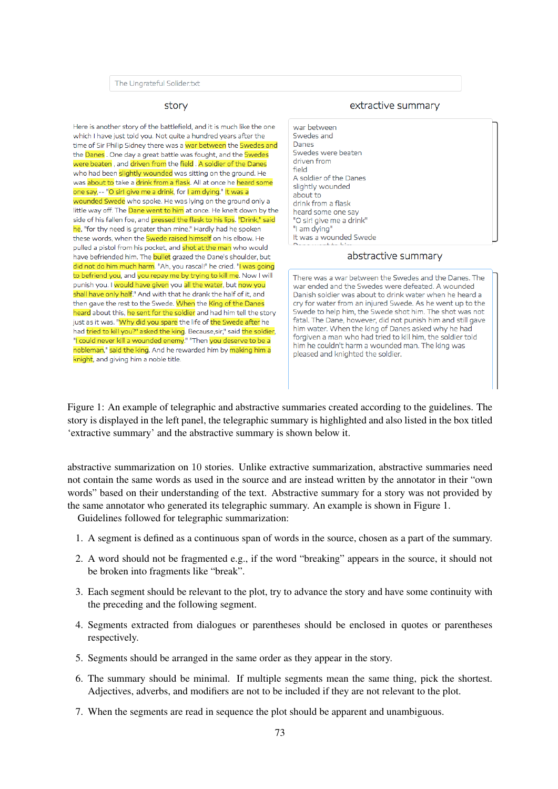### story

Here is another story of the battlefield, and it is much like the one which I have just told you. Not quite a hundred years after the time of Sir Philip Sidney there was a war between the Swedes and the Danes. One day a great battle was fought, and the Swedes were beaten, and driven from the field, A soldier of the Danes who had been slightly wounded was sitting on the ground. He was about to take a drink from a flask. All at once he heard some one say,-- "O sir! give me a drink, for I am dying." It was a wounded Swede who spoke. He was lying on the ground only a little way off. The Dane went to him at once. He knelt down by the side of his fallen foe, and pressed the flask to his lips. "Drink," said he, "for thy need is greater than mine." Hardly had he spoken these words, when the Swede raised himself on his elbow. He pulled a pistol from his pocket, and shot at the man who would have befriended him. The **bullet** grazed the Dane's shoulder, but did not do him much harm. "Ah, you rascal!" he cried. "I was going to befriend you, and you repay me by trying to kill me. Now I will punish you. I would have given you all the water, but now you shall have only half." And with that he drank the half of it, and then gave the rest to the Swede. When the King of the Danes heard about this, he sent for the soldier and had him tell the story just as it was. "Why did you spare the life of the Swede after he had tried to kill you?" asked the king. Because, sir," said the soldier, "I could never kill a wounded enemy." "Then you deserve to be a nobleman," said the king. And he rewarded him by <mark>making him a</mark> knight, and giving him a noble title.

#### extractive summary

war between Swedes and Danes Swedes were beaten driven from field A soldier of the Danes slightly wounded about to drink from a flask heard some one say "O sir! give me a drink" "I am dying" It was a wounded Swede

#### abstractive summary

There was a war between the Swedes and the Danes. The war ended and the Swedes were defeated. A wounded Danish soldier was about to drink water when he heard a cry for water from an injured Swede. As he went up to the Swede to help him, the Swede shot him. The shot was not fatal. The Dane, however, did not punish him and still gave him water. When the king of Danes asked why he had forgiven a man who had tried to kill him, the soldier told him he couldn't harm a wounded man. The king was pleased and knighted the soldier.

Figure 1: An example of telegraphic and abstractive summaries created according to the guidelines. The story is displayed in the left panel, the telegraphic summary is highlighted and also listed in the box titled 'extractive summary' and the abstractive summary is shown below it.

abstractive summarization on 10 stories. Unlike extractive summarization, abstractive summaries need not contain the same words as used in the source and are instead written by the annotator in their "own words" based on their understanding of the text. Abstractive summary for a story was not provided by the same annotator who generated its telegraphic summary. An example is shown in Figure 1.

Guidelines followed for telegraphic summarization:

- 1. A segment is defined as a continuous span of words in the source, chosen as a part of the summary.
- 2. A word should not be fragmented e.g., if the word "breaking" appears in the source, it should not be broken into fragments like "break".
- 3. Each segment should be relevant to the plot, try to advance the story and have some continuity with the preceding and the following segment.
- 4. Segments extracted from dialogues or parentheses should be enclosed in quotes or parentheses respectively.
- 5. Segments should be arranged in the same order as they appear in the story.
- 6. The summary should be minimal. If multiple segments mean the same thing, pick the shortest. Adjectives, adverbs, and modifiers are not to be included if they are not relevant to the plot.
- 7. When the segments are read in sequence the plot should be apparent and unambiguous.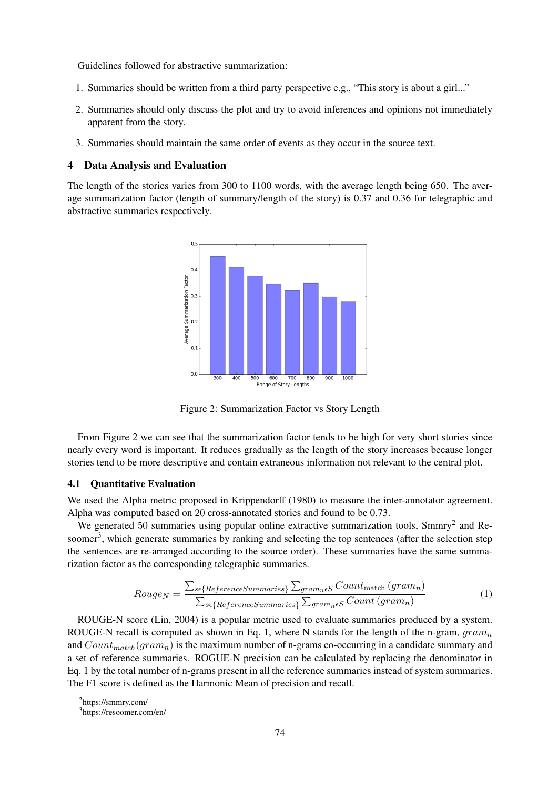Guidelines followed for abstractive summarization:

- 1. Summaries should be written from a third party perspective e.g., "This story is about a girl..."
- 2. Summaries should only discuss the plot and try to avoid inferences and opinions not immediately apparent from the story.
- 3. Summaries should maintain the same order of events as they occur in the source text.

### 4 Data Analysis and Evaluation

The length of the stories varies from 300 to 1100 words, with the average length being 650. The average summarization factor (length of summary/length of the story) is 0.37 and 0.36 for telegraphic and abstractive summaries respectively.



Figure 2: Summarization Factor vs Story Length

From Figure 2 we can see that the summarization factor tends to be high for very short stories since nearly every word is important. It reduces gradually as the length of the story increases because longer stories tend to be more descriptive and contain extraneous information not relevant to the central plot.

#### 4.1 Quantitative Evaluation

We used the Alpha metric proposed in Krippendorff (1980) to measure the inter-annotator agreement. Alpha was computed based on 20 cross-annotated stories and found to be 0.73.

We generated 50 summaries using popular online extractive summarization tools, Smmry<sup>2</sup> and Resoomer<sup>3</sup>, which generate summaries by ranking and selecting the top sentences (after the selection step the sentences are re-arranged according to the source order). These summaries have the same summarization factor as the corresponding telegraphic summaries.

$$
Rouge_N = \frac{\sum_{s \in \{ReferenceSummaries\}} \sum_{gram_n \in S} Count_{match} (gram_n)}{\sum_{s \in \{ReferenceSummaries\}} \sum_{gram_n \in S} Count (gram_n)}
$$
(1)

ROUGE-N score (Lin, 2004) is a popular metric used to evaluate summaries produced by a system. ROUGE-N recall is computed as shown in Eq. 1, where N stands for the length of the n-gram,  $gram_n$ and  $Count_{match}(gram_n)$  is the maximum number of n-grams co-occurring in a candidate summary and a set of reference summaries. ROGUE-N precision can be calculated by replacing the denominator in Eq. 1 by the total number of n-grams present in all the reference summaries instead of system summaries. The F1 score is defined as the Harmonic Mean of precision and recall.

2 https://smmry.com/

<sup>3</sup> https://resoomer.com/en/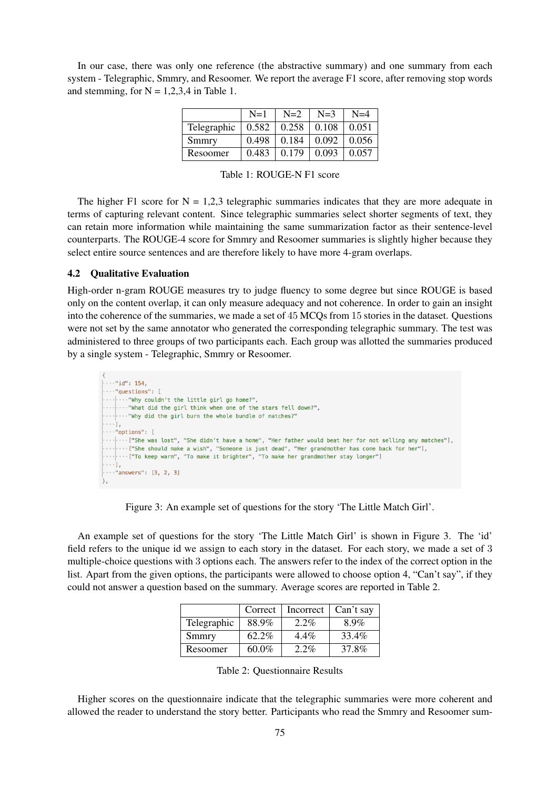In our case, there was only one reference (the abstractive summary) and one summary from each system - Telegraphic, Smmry, and Resoomer. We report the average F1 score, after removing stop words and stemming, for  $N = 1,2,3,4$  in Table 1.

|             | $N=1$ | $N=2$                                 | $N=3$             | $N=4$             |
|-------------|-------|---------------------------------------|-------------------|-------------------|
| Telegraphic | 0.582 | $\vert 0.258 \vert 0.108 \vert 0.051$ |                   |                   |
| Smmry       | 0.498 | $\vert 0.184 \vert$                   |                   | $0.092 \pm 0.056$ |
| Resoomer    | 0.483 | $\pm 0.179$                           | $0.093 \pm 0.057$ |                   |

Table 1: ROUGE-N F1 score

The higher F1 score for  $N = 1,2,3$  telegraphic summaries indicates that they are more adequate in terms of capturing relevant content. Since telegraphic summaries select shorter segments of text, they can retain more information while maintaining the same summarization factor as their sentence-level counterparts. The ROUGE-4 score for Smmry and Resoomer summaries is slightly higher because they select entire source sentences and are therefore likely to have more 4-gram overlaps.

### 4.2 Qualitative Evaluation

High-order n-gram ROUGE measures try to judge fluency to some degree but since ROUGE is based only on the content overlap, it can only measure adequacy and not coherence. In order to gain an insight into the coherence of the summaries, we made a set of 45 MCQs from 15 stories in the dataset. Questions were not set by the same annotator who generated the corresponding telegraphic summary. The test was administered to three groups of two participants each. Each group was allotted the summaries produced by a single system - Telegraphic, Smmry or Resoomer.

```
\cdots "id": 154.
\cdots "questions": [
... ... "Why couldn't the little girl go home?",
    ... "What did the girl think when one of the stars fell down?",
    "Why did the girl burn the whole bundle of matches?"
- - 11
\cdots"options": [
\cdots ... ["She was lost", "She didn't have a home", "Her father would beat her for not selling any matches"],
    ... ["She should make a wish", "Someone is just dead", "Her grandmother has come back for her"],
ن 1 د د د
\cdots"answers": [3, 2, 3]
```
Figure 3: An example set of questions for the story 'The Little Match Girl'.

An example set of questions for the story 'The Little Match Girl' is shown in Figure 3. The 'id' field refers to the unique id we assign to each story in the dataset. For each story, we made a set of 3 multiple-choice questions with 3 options each. The answers refer to the index of the correct option in the list. Apart from the given options, the participants were allowed to choose option 4, "Can't say", if they could not answer a question based on the summary. Average scores are reported in Table 2.

|             | Correct  | Incorrect | Can't say |
|-------------|----------|-----------|-----------|
| Telegraphic | 88.9%    | $2.2\%$   | 8.9%      |
| Smmry       | $62.2\%$ | $4.4\%$   | 33.4%     |
| Resoomer    | $60.0\%$ | $2.2\%$   | 37.8%     |

Table 2: Questionnaire Results

Higher scores on the questionnaire indicate that the telegraphic summaries were more coherent and allowed the reader to understand the story better. Participants who read the Smmry and Resoomer sum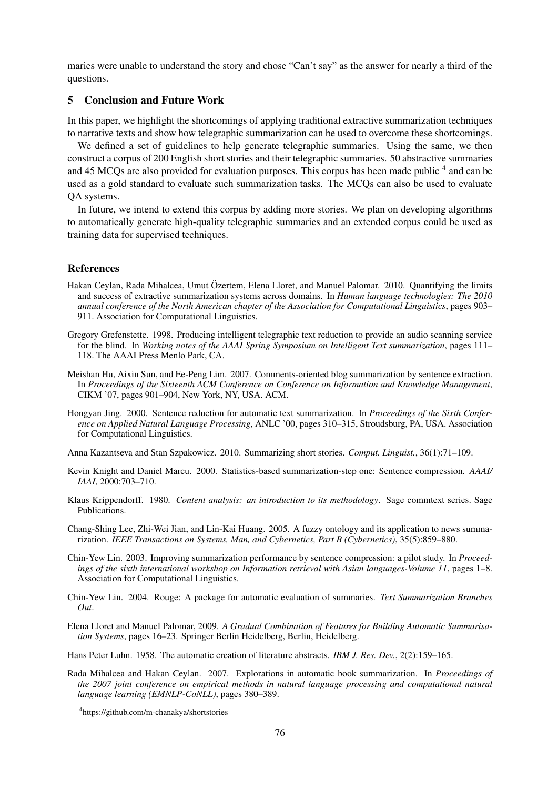maries were unable to understand the story and chose "Can't say" as the answer for nearly a third of the questions.

### 5 Conclusion and Future Work

In this paper, we highlight the shortcomings of applying traditional extractive summarization techniques to narrative texts and show how telegraphic summarization can be used to overcome these shortcomings.

We defined a set of guidelines to help generate telegraphic summaries. Using the same, we then construct a corpus of 200 English short stories and their telegraphic summaries. 50 abstractive summaries and 45 MCQs are also provided for evaluation purposes. This corpus has been made public <sup>4</sup> and can be used as a gold standard to evaluate such summarization tasks. The MCQs can also be used to evaluate QA systems.

In future, we intend to extend this corpus by adding more stories. We plan on developing algorithms to automatically generate high-quality telegraphic summaries and an extended corpus could be used as training data for supervised techniques.

### **References**

- Hakan Ceylan, Rada Mihalcea, Umut Özertem, Elena Lloret, and Manuel Palomar. 2010. Quantifying the limits and success of extractive summarization systems across domains. In *Human language technologies: The 2010 annual conference of the North American chapter of the Association for Computational Linguistics*, pages 903– 911. Association for Computational Linguistics.
- Gregory Grefenstette. 1998. Producing intelligent telegraphic text reduction to provide an audio scanning service for the blind. In *Working notes of the AAAI Spring Symposium on Intelligent Text summarization*, pages 111– 118. The AAAI Press Menlo Park, CA.
- Meishan Hu, Aixin Sun, and Ee-Peng Lim. 2007. Comments-oriented blog summarization by sentence extraction. In *Proceedings of the Sixteenth ACM Conference on Conference on Information and Knowledge Management*, CIKM '07, pages 901–904, New York, NY, USA. ACM.
- Hongyan Jing. 2000. Sentence reduction for automatic text summarization. In *Proceedings of the Sixth Conference on Applied Natural Language Processing*, ANLC '00, pages 310–315, Stroudsburg, PA, USA. Association for Computational Linguistics.

Anna Kazantseva and Stan Szpakowicz. 2010. Summarizing short stories. *Comput. Linguist.*, 36(1):71–109.

- Kevin Knight and Daniel Marcu. 2000. Statistics-based summarization-step one: Sentence compression. *AAAI/ IAAI*, 2000:703–710.
- Klaus Krippendorff. 1980. *Content analysis: an introduction to its methodology*. Sage commtext series. Sage Publications.
- Chang-Shing Lee, Zhi-Wei Jian, and Lin-Kai Huang. 2005. A fuzzy ontology and its application to news summarization. *IEEE Transactions on Systems, Man, and Cybernetics, Part B (Cybernetics)*, 35(5):859–880.
- Chin-Yew Lin. 2003. Improving summarization performance by sentence compression: a pilot study. In *Proceedings of the sixth international workshop on Information retrieval with Asian languages-Volume 11*, pages 1–8. Association for Computational Linguistics.
- Chin-Yew Lin. 2004. Rouge: A package for automatic evaluation of summaries. *Text Summarization Branches Out*.
- Elena Lloret and Manuel Palomar, 2009. *A Gradual Combination of Features for Building Automatic Summarisation Systems*, pages 16–23. Springer Berlin Heidelberg, Berlin, Heidelberg.
- Hans Peter Luhn. 1958. The automatic creation of literature abstracts. *IBM J. Res. Dev.*, 2(2):159–165.
- Rada Mihalcea and Hakan Ceylan. 2007. Explorations in automatic book summarization. In *Proceedings of the 2007 joint conference on empirical methods in natural language processing and computational natural language learning (EMNLP-CoNLL)*, pages 380–389.

<sup>4</sup> https://github.com/m-chanakya/shortstories